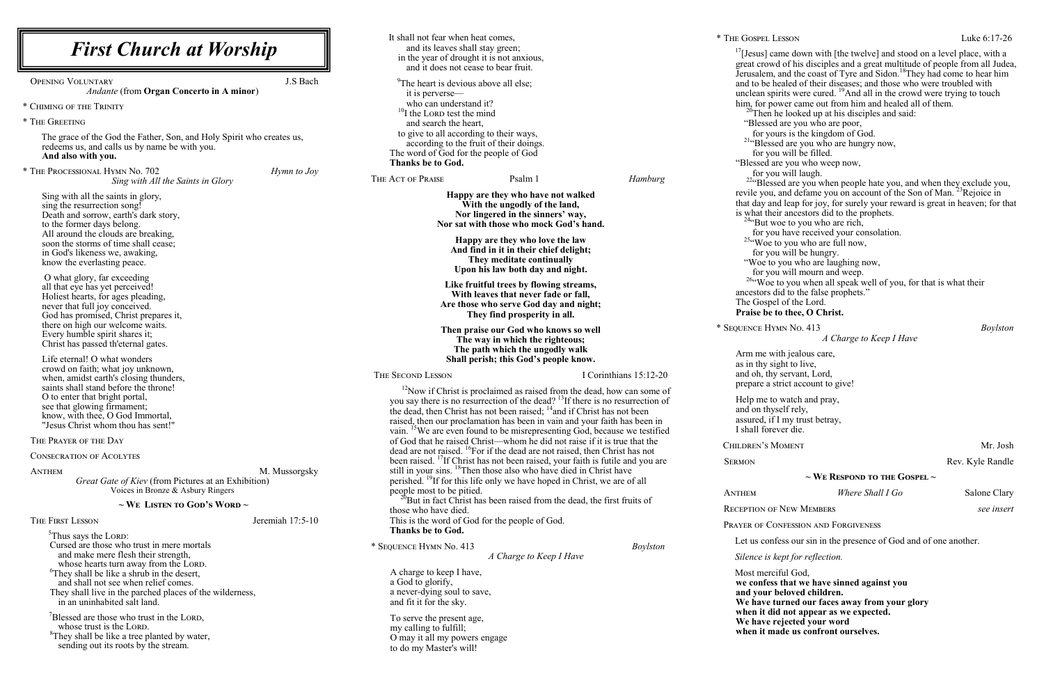| <b>First Church at Worship</b>                                                                                                                                                                                                                                                                                                                                                                                                                                                                                                                                                                                                                               | It shall not fear when heat comes,<br>and its leaves shall stay green;<br>in the year of drought it is not anxious,<br>and it does not cease to bear fruit.                                                                                                                                                                                                                                                                                                                                                                                                                                                                                                                                                                                                                                                                                                                                                                                                                                                                                                                                                                                                                | * THE GOSPEL<br>$^{17}$ [Jesus]<br>great cro                                                                                                                                                     |
|--------------------------------------------------------------------------------------------------------------------------------------------------------------------------------------------------------------------------------------------------------------------------------------------------------------------------------------------------------------------------------------------------------------------------------------------------------------------------------------------------------------------------------------------------------------------------------------------------------------------------------------------------------------|----------------------------------------------------------------------------------------------------------------------------------------------------------------------------------------------------------------------------------------------------------------------------------------------------------------------------------------------------------------------------------------------------------------------------------------------------------------------------------------------------------------------------------------------------------------------------------------------------------------------------------------------------------------------------------------------------------------------------------------------------------------------------------------------------------------------------------------------------------------------------------------------------------------------------------------------------------------------------------------------------------------------------------------------------------------------------------------------------------------------------------------------------------------------------|--------------------------------------------------------------------------------------------------------------------------------------------------------------------------------------------------|
| J.S Bach<br><b>OPENING VOLUNTARY</b><br><b>Andante (from Organ Concerto in A minor)</b><br>* CHIMING OF THE TRINITY<br>* THE GREETING<br>The grace of the God the Father, Son, and Holy Spirit who creates us,<br>redeems us, and calls us by name be with you.<br>And also with you.                                                                                                                                                                                                                                                                                                                                                                        | <sup>9</sup> The heart is devious above all else;<br>it is perverse—<br>who can understand it?<br>$^{10}$ I the LORD test the mind<br>and search the heart,<br>to give to all according to their ways,<br>according to the fruit of their doings.<br>The word of God for the people of God<br><b>Thanks be to God.</b>                                                                                                                                                                                                                                                                                                                                                                                                                                                                                                                                                                                                                                                                                                                                                                                                                                                     | Jerusaler<br>and to be<br>unclean s<br>him, for<br>$20$ Ther<br>"Bless<br>for y<br>$214$ Bles<br>for y<br>"Blessed                                                                               |
| * THE PROCESSIONAL HYMN No. 702<br>Hymn to Joy<br>Sing with All the Saints in Glory                                                                                                                                                                                                                                                                                                                                                                                                                                                                                                                                                                          | THE ACT OF PRAISE<br>Psalm 1<br>Hamburg                                                                                                                                                                                                                                                                                                                                                                                                                                                                                                                                                                                                                                                                                                                                                                                                                                                                                                                                                                                                                                                                                                                                    | for y<br>$224$ Ble                                                                                                                                                                               |
| Sing with all the saints in glory,<br>sing the resurrection song!<br>Death and sorrow, earth's dark story,<br>to the former days belong.<br>All around the clouds are breaking,<br>soon the storms of time shall cease;<br>in God's likeness we, awaking,<br>know the everlasting peace.                                                                                                                                                                                                                                                                                                                                                                     | Happy are they who have not walked<br>With the ungodly of the land,<br>Nor lingered in the sinners' way,<br>Nor sat with those who mock God's hand.<br>Happy are they who love the law<br>And find in it in their chief delight;<br>They meditate continually<br>Upon his law both day and night.                                                                                                                                                                                                                                                                                                                                                                                                                                                                                                                                                                                                                                                                                                                                                                                                                                                                          | revile yo<br>that day a<br>is what th<br>$244$ But<br>for y<br>$25\cdot$ Wor<br>for y<br>"Woe 1                                                                                                  |
| O what glory, far exceeding<br>all that eye has yet perceived!<br>Holiest hearts, for ages pleading,<br>never that full joy conceived.<br>God has promised, Christ prepares it,                                                                                                                                                                                                                                                                                                                                                                                                                                                                              | Like fruitful trees by flowing streams,<br>With leaves that never fade or fall,<br>Are those who serve God day and night;<br>They find prosperity in all.                                                                                                                                                                                                                                                                                                                                                                                                                                                                                                                                                                                                                                                                                                                                                                                                                                                                                                                                                                                                                  | for y<br>$26\cdot W_0$<br>ancestors<br>The Gos<br>Praise be                                                                                                                                      |
| there on high our welcome waits.<br>Every humble spirit shares it;<br>Christ has passed th'eternal gates.                                                                                                                                                                                                                                                                                                                                                                                                                                                                                                                                                    | Then praise our God who knows so well<br>The way in which the righteous;<br>The path which the ungodly walk                                                                                                                                                                                                                                                                                                                                                                                                                                                                                                                                                                                                                                                                                                                                                                                                                                                                                                                                                                                                                                                                | * SEQUENCE H                                                                                                                                                                                     |
| Life eternal! O what wonders<br>crowd on faith; what joy unknown,<br>when, amidst earth's closing thunders,<br>saints shall stand before the throne!<br>O to enter that bright portal,<br>see that glowing firmament;<br>know, with thee, O God Immortal,<br>"Jesus Christ whom thou has sent!"<br>THE PRAYER OF THE DAY<br><b>CONSECRATION OF ACOLYTES</b><br>M. Mussorgsky<br><b>ANTHEM</b><br>Great Gate of Kiev (from Pictures at an Exhibition)<br>Voices in Bronze & Asbury Ringers<br>$\sim$ We Listen to God's Word $\sim$<br>THE FIRST LESSON<br>Jeremiah 17:5-10<br><sup>5</sup> Thus says the LORD:<br>Cursed are those who trust in mere mortals | Shall perish; this God's people know.<br>I Corinthians 15:12-20<br>THE SECOND LESSON<br>$12$ Now if Christ is proclaimed as raised from the dead, how can some of<br>you say there is no resurrection of the dead? $^{13}$ If there is no resurrection of<br>the dead, then Christ has not been raised; <sup>14</sup> and if Christ has not been<br>raised, then our proclamation has been in vain and your faith has been in<br>vain. <sup>15</sup> We are even found to be misrepresenting God, because we testified<br>of God that he raised Christ—whom he did not raise if it is true that the<br>dead are not raised. <sup>16</sup> For if the dead are not raised, then Christ has not<br>been raised. <sup>17</sup> If Christ has not been raised, your faith is futile and you are<br>still in your sins. <sup>18</sup> Then those also who have died in Christ have<br>perished. <sup>19</sup> If for this life only we have hoped in Christ, we are of all<br>people most to be pitied.<br>But in fact Christ has been raised from the dead, the first fruits of<br>those who have died.<br>This is the word of God for the people of God.<br>Thanks be to God. | Arm me<br>as in thy<br>and oh, tl<br>prepare a<br>Help me<br>and on th<br>assured,<br>I shall fo<br>CHILDREN'S<br><b>SERMON</b><br><b>ANTHEM</b><br><b>RECEPTION</b><br>PRAYER OF C<br>Let us co |
| and make mere flesh their strength,<br>whose hearts turn away from the LORD.<br><sup>6</sup> They shall be like a shrub in the desert,<br>and shall not see when relief comes.<br>They shall live in the parched places of the wilderness,<br>in an uninhabited salt land.<br>Blessed are those who trust in the LORD,<br>whose trust is the LORD.<br><sup>8</sup> They shall be like a tree planted by water,<br>sending out its roots by the stream.                                                                                                                                                                                                       | * SEQUENCE HYMN No. 413<br><b>Boylston</b><br>A Charge to Keep I Have<br>A charge to keep I have,<br>a God to glorify,<br>a never-dying soul to save,<br>and fit it for the sky.<br>To serve the present age,<br>my calling to fulfill;<br>O may it all my powers engage<br>to do my Master's will!                                                                                                                                                                                                                                                                                                                                                                                                                                                                                                                                                                                                                                                                                                                                                                                                                                                                        | Silence is<br>Most mer<br>we confe<br>and your<br>We have<br>when it<br>We have<br>when it I                                                                                                     |

 $\text{Lusson}$  Luke  $6:17-26$ 

came down with [the twelve] and stood on a level place, with a wd of his disciples and a great multitude of people from all Judea, Jerusalem, and the coast of Tyre and Sidon. <sup>18</sup>They had come to hear him e healed of their diseases; and those who were troubled with spirits were cured. <sup>19</sup>And all in the crowd were trying to touch power came out from him and healed all of them. n he looked up at his disciples and said: ed are you who are poor, yours is the kingdom of God. ssed are you who are hungry now, you will be filled. I are you who weep now, you will laugh. essed are you when people hate you, and when they exclude you, revile you, and defame you on account of the Son of Man.<sup>23</sup>Rejoice in and leap for joy, for surely your reward is great in heaven; for that heir ancestors did to the prophets. woe to you who are rich, you have received your consolation. e to you who are full now, you will be hungry. to you who are laughing now, you will mourn and weep. be to you when all speak well of you, for that is what their is did to the false prophets." pel of the Lord.  $\tilde{P}$ e to thee, O Christ. \* Sequence Hymn No. 413 *Boylston A Charge to Keep I Have* with jealous care, sight to live, hy servant, Lord, a strict account to give! to watch and pray, ayself rely,

if I my trust betray, orever die.

MOMENT Mr. Josh

Rev. Kyle Randle

**~ We Respond to the Gospel ~**

| Where Shall I Go |  |
|------------------|--|
|------------------|--|

OF NEW MEMBERS *see insert* 

CONFESSION AND FORGIVENESS

onfess our sin in the presence of God and of one another.

*Silence is kept for reflection.*

rciful God, **we confess that we have sinned against you r** beloved children. **EXECUTE:** turned our faces away from your glory did not appear as we expected. **rejected your word** made us confront ourselves.

**Salone Clary**